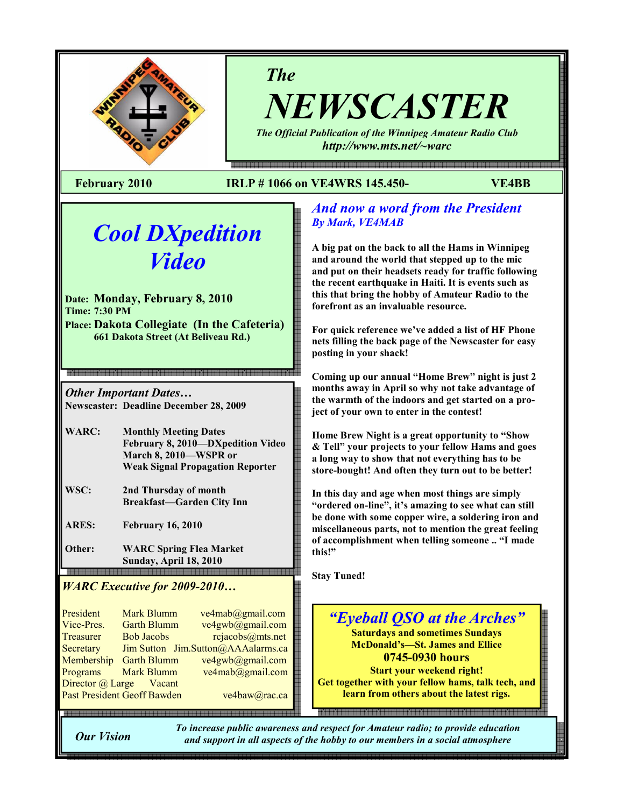

The

NEWSCASTER

The Official Publication of the Winnipeg Amateur Radio Club http://www.mts.net/~warc

# February 2010 IRLP # 1066 on VE4WRS 145.450- VE4BB

# Cool DXpedition **Video**

Date: Monday, February 8, 2010 Time: 7:30 PM Place: Dakota Collegiate (In the Cafeteria) 661 Dakota Street (At Beliveau Rd.)

Other Important Dates… Newscaster: Deadline December 28, 2009

- WARC: Monthly Meeting Dates February 8, 2010—DXpedition Video March 8, 2010—WSPR or Weak Signal Propagation Reporter
- WSC: 2nd Thursday of month Breakfast—Garden City Inn

ARES: February 16, 2010

Other: WARC Spring Flea Market Sunday, April 18, 2010

# WARC Executive for 2009-2010…

| President                          | <b>Mark Blumm</b>  | ve4mab@gmail.com                   |  |  |  |
|------------------------------------|--------------------|------------------------------------|--|--|--|
| Vice-Pres.                         | <b>Garth Blumm</b> | ve4gwb@gmail.com                   |  |  |  |
| Treasurer                          | <b>Bob Jacobs</b>  | rcjacobs@mts.net                   |  |  |  |
| Secretary                          |                    | Jim Sutton Jim.Sutton@AAAalarms.ca |  |  |  |
| Membership                         | <b>Garth Blumm</b> | ve4gwb@gmail.com                   |  |  |  |
| Programs                           | <b>Mark Blumm</b>  | ve4mab@gmail.com                   |  |  |  |
| Director @ Large Vacant            |                    |                                    |  |  |  |
| <b>Past President Geoff Bawden</b> |                    | ve4baw@rac.ca                      |  |  |  |
|                                    |                    |                                    |  |  |  |

# And now a word from the President By Mark, VE4MAB

A big pat on the back to all the Hams in Winnipeg and around the world that stepped up to the mic and put on their headsets ready for traffic following the recent earthquake in Haiti. It is events such as this that bring the hobby of Amateur Radio to the forefront as an invaluable resource.

For quick reference we've added a list of HF Phone nets filling the back page of the Newscaster for easy posting in your shack!

Coming up our annual "Home Brew" night is just 2 months away in April so why not take advantage of the warmth of the indoors and get started on a project of your own to enter in the contest!

Home Brew Night is a great opportunity to "Show & Tell" your projects to your fellow Hams and goes a long way to show that not everything has to be store-bought! And often they turn out to be better!

In this day and age when most things are simply "ordered on-line", it's amazing to see what can still be done with some copper wire, a soldering iron and miscellaneous parts, not to mention the great feeling of accomplishment when telling someone .. "I made this!"

Stay Tuned!

"Eyeball QSO at the Arches" Saturdays and sometimes Sundays McDonald's—St. James and Ellice 0745-0930 hours Start your weekend right! Get together with your fellow hams, talk tech, and learn from others about the latest rigs.

<u>. 1990 - 1990 - 1990 - 1990 - 1990 - 1990 - 1990 - 1990 - 1990 - 1990 - 1990 - 1990 - 1990 - 1990 - 1990 - 1990 - 1990 - 1990 - 1990 - 1990 - 1990 - 1990 - 1990 - 1990 - 1990 - 1990 - 1990 - 1990 - 1990 - 1990 - 1990 -</u>

Our Vision

To increase public awareness and respect for Amateur radio; to provide education and support in all aspects of the hobby to our members in a social atmosphere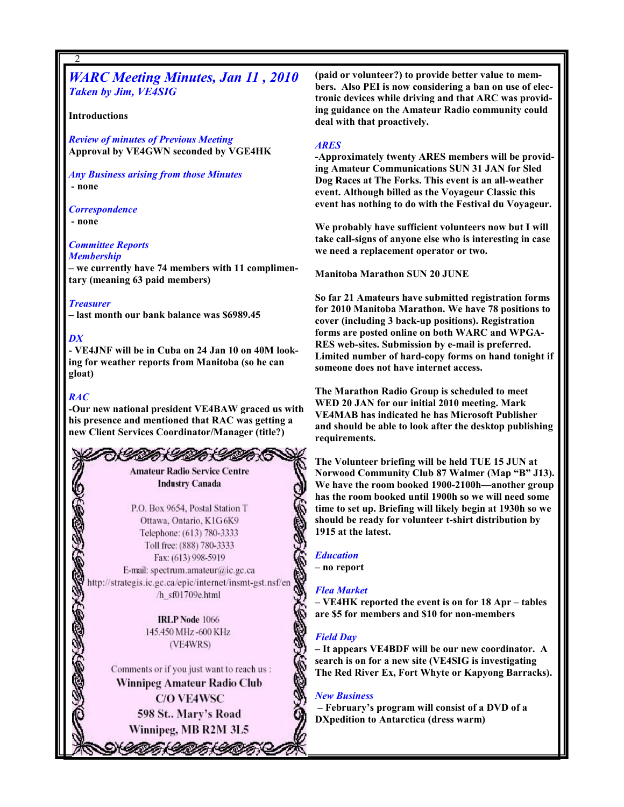# WARC Meeting Minutes, Jan 11 , 2010 Taken by Jim, VE4SIG

#### Introductions

2

Review of minutes of Previous Meeting Approval by VE4GWN seconded by VGE4HK

Any Business arising from those Minutes - none

**Correspondence** 

- none

#### Committee Reports

**Membership** 

– we currently have 74 members with 11 complimentary (meaning 63 paid members)

#### **Treasurer**

– last month our bank balance was \$6989.45

#### **DX**

- VE4JNF will be in Cuba on 24 Jan 10 on 40M looking for weather reports from Manitoba (so he can gloat)

#### RAC

2

-Our new national president VE4BAW graced us with his presence and mentioned that RAC was getting a new Client Services Coordinator/Manager (title?)

> かくのんく **Amateur Radio Service Centre Industry Canada**

P.O. Box 9654, Postal Station T Ottawa, Ontario, K1G6K9 Telephone: (613) 780-3333 Toll free: (888) 780-3333 Fax: (613) 998-5919 E-mail: spectrum.amateur@ic.gc.ca http://strategis.ic.gc.ca/epic/internet/insmt-gst.nsf/en /h\_sf01709e.html

> **IRLP** Node 1066 145.450 MHz-600 KHz (VE4WRS)

Comments or if you just want to reach us: Winnipeg Amateur Radio Club **C/O VE4WSC** 598 St., Mary's Road Winnipeg, MB R2M 3L5

NITA ITA ITA

(paid or volunteer?) to provide better value to members. Also PEI is now considering a ban on use of electronic devices while driving and that ARC was providing guidance on the Amateur Radio community could deal with that proactively.

#### ARES

-Approximately twenty ARES members will be providing Amateur Communications SUN 31 JAN for Sled Dog Races at The Forks. This event is an all-weather event. Although billed as the Voyageur Classic this event has nothing to do with the Festival du Voyageur.

We probably have sufficient volunteers now but I will take call-signs of anyone else who is interesting in case we need a replacement operator or two.

Manitoba Marathon SUN 20 JUNE

So far 21 Amateurs have submitted registration forms for 2010 Manitoba Marathon. We have 78 positions to cover (including 3 back-up positions). Registration forms are posted online on both WARC and WPGA-RES web-sites. Submission by e-mail is preferred. Limited number of hard-copy forms on hand tonight if someone does not have internet access.

The Marathon Radio Group is scheduled to meet WED 20 JAN for our initial 2010 meeting. Mark VE4MAB has indicated he has Microsoft Publisher and should be able to look after the desktop publishing requirements.

The Volunteer briefing will be held TUE 15 JUN at Norwood Community Club 87 Walmer (Map "B" J13). We have the room booked 1900-2100h—another group has the room booked until 1900h so we will need some time to set up. Briefing will likely begin at 1930h so we should be ready for volunteer t-shirt distribution by 1915 at the latest.

Education – no report

#### Flea Market

– VE4HK reported the event is on for 18 Apr – tables are \$5 for members and \$10 for non-members

#### Field Day

– It appears VE4BDF will be our new coordinator. A search is on for a new site (VE4SIG is investigating The Red River Ex, Fort Whyte or Kapyong Barracks).

#### New Business

 – February's program will consist of a DVD of a DXpedition to Antarctica (dress warm)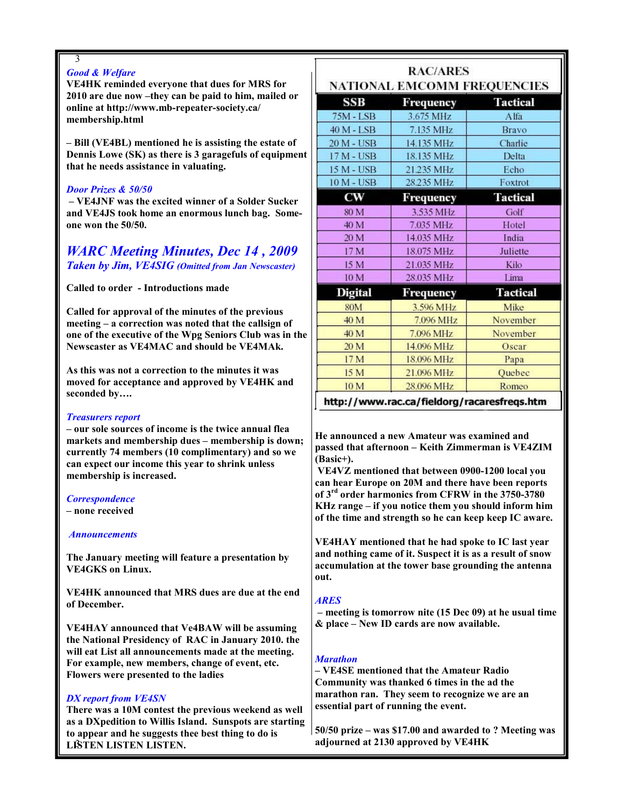### Good & Welfare

3

VE4HK reminded everyone that dues for MRS for 2010 are due now –they can be paid to him, mailed or online at http://www.mb-repeater-society.ca/ membership.html

– Bill (VE4BL) mentioned he is assisting the estate of Dennis Lowe (SK) as there is 3 garagefuls of equipment that he needs assistance in valuating.

#### Door Prizes & 50/50

 – VE4JNF was the excited winner of a Solder Sucker and VE4JS took home an enormous lunch bag. Someone won the 50/50.

# WARC Meeting Minutes, Dec 14 , 2009 Taken by Jim, VE4SIG (Omitted from Jan Newscaster)

Called to order - Introductions made

Called for approval of the minutes of the previous meeting – a correction was noted that the callsign of one of the executive of the Wpg Seniors Club was in the Newscaster as VE4MAC and should be VE4MAk.

As this was not a correction to the minutes it was moved for acceptance and approved by VE4HK and seconded by….

#### Treasurers report

– our sole sources of income is the twice annual flea markets and membership dues – membership is down; currently 74 members (10 complimentary) and so we can expect our income this year to shrink unless membership is increased.

#### **Correspondence**

– none received

#### **Announcements**

The January meeting will feature a presentation by VE4GKS on Linux.

VE4HK announced that MRS dues are due at the end of December.

VE4HAY announced that Ve4BAW will be assuming the National Presidency of RAC in January 2010. the will eat List all announcements made at the meeting. For example, new members, change of event, etc. Flowers were presented to the ladies

#### DX report from VE4SN

LISTEN LISTEN. There was a 10M contest the previous weekend as well as a DXpedition to Willis Island. Sunspots are starting to appear and he suggests thee best thing to do is

| <b>RAC/ARES</b><br><b>NATIONAL EMCOMM FREQUENCIES</b> |            |                 |  |  |  |
|-------------------------------------------------------|------------|-----------------|--|--|--|
| SSB                                                   | Frequency  | <b>Tactical</b> |  |  |  |
| 75M - LSB                                             | 3.675 MHz  | A lfa           |  |  |  |
| 40 M - LSB                                            | 7.135 MHz  | Bravo           |  |  |  |
| 20 M - USB                                            | 14.135 MHz | Charlie         |  |  |  |
| 17 M - USB                                            | 18.135 MHz | Delta           |  |  |  |
| 15 M - USB                                            | 21.235 MHz | Echo            |  |  |  |
| <b>10 M - USB</b>                                     | 28.235 MHz | Foxtrot         |  |  |  |
| $_{\rm cw}$                                           | Frequency  | <b>Tactical</b> |  |  |  |
| 80 M                                                  | 3.535 MHz  | Golf            |  |  |  |
| 40 M                                                  | 7.035 MHz  | Hotel           |  |  |  |
| 20 M                                                  | 14.035 MHz | India           |  |  |  |
| 17 M                                                  | 18.075 MHz | Juliette        |  |  |  |
| 15 M                                                  | 21.035 MHz | Kilo            |  |  |  |
| 10 M                                                  | 28.035 MHz | Lima            |  |  |  |
| <b>Digital</b>                                        | Frequency  | <b>Tactical</b> |  |  |  |
| <b>80M</b>                                            | 3.596 MHz  | Mike            |  |  |  |
| 40 M                                                  | 7.096 MHz  | November        |  |  |  |
| 40 M                                                  | 7.096 MHz  | November        |  |  |  |
| 20 M                                                  | 14.096 MHz | Oscar           |  |  |  |
| 17 M                                                  | 18.096 MHz | Papa            |  |  |  |
| 15 <sub>M</sub>                                       | 21.096 MHz | Quebec          |  |  |  |
| 10 <sub>M</sub>                                       | 28.096 MHz | Romeo           |  |  |  |

http://www.rac.ca/fieldorg/racaresfreqs.htm

He announced a new Amateur was examined and passed that afternoon – Keith Zimmerman is VE4ZIM (Basic+).

 VE4VZ mentioned that between 0900-1200 local you can hear Europe on 20M and there have been reports of 3rd order harmonics from CFRW in the 3750-3780 KHz range – if you notice them you should inform him of the time and strength so he can keep keep IC aware.

VE4HAY mentioned that he had spoke to IC last year and nothing came of it. Suspect it is as a result of snow accumulation at the tower base grounding the antenna out.

#### ARES

– meeting is tomorrow nite (15 Dec 09) at he usual time & place – New ID cards are now available.

#### Marathon

– VE4SE mentioned that the Amateur Radio Community was thanked 6 times in the ad the marathon ran. They seem to recognize we are an essential part of running the event.

50/50 prize – was \$17.00 and awarded to ? Meeting was adjourned at 2130 approved by VE4HK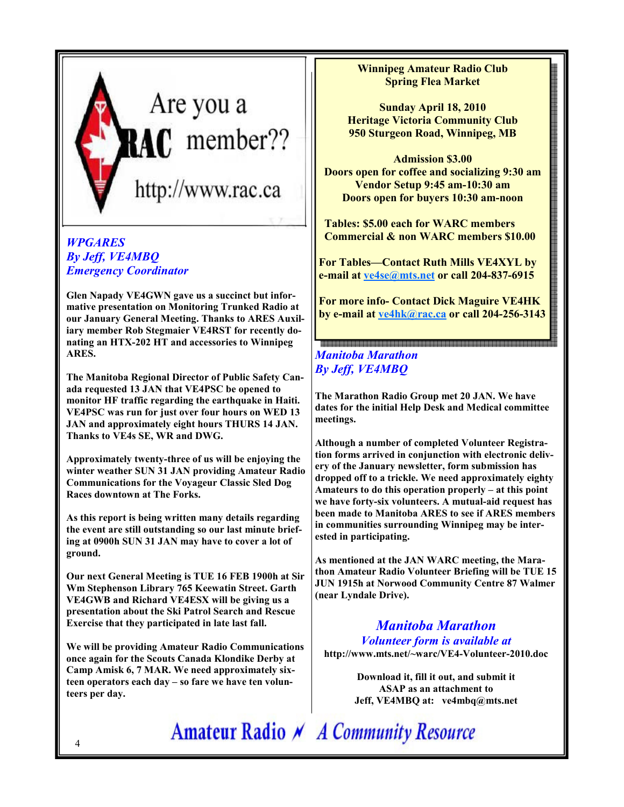

# **WPGARES** By Jeff, VE4MBQ Emergency Coordinator

Glen Napady VE4GWN gave us a succinct but informative presentation on Monitoring Trunked Radio at our January General Meeting. Thanks to ARES Auxiliary member Rob Stegmaier VE4RST for recently donating an HTX-202 HT and accessories to Winnipeg ARES.

The Manitoba Regional Director of Public Safety Canada requested 13 JAN that VE4PSC be opened to monitor HF traffic regarding the earthquake in Haiti. VE4PSC was run for just over four hours on WED 13 JAN and approximately eight hours THURS 14 JAN. Thanks to VE4s SE, WR and DWG.

Approximately twenty-three of us will be enjoying the winter weather SUN 31 JAN providing Amateur Radio Communications for the Voyageur Classic Sled Dog Races downtown at The Forks.

As this report is being written many details regarding the event are still outstanding so our last minute briefing at 0900h SUN 31 JAN may have to cover a lot of ground.

Our next General Meeting is TUE 16 FEB 1900h at Sir Wm Stephenson Library 765 Keewatin Street. Garth VE4GWB and Richard VE4ESX will be giving us a presentation about the Ski Patrol Search and Rescue Exercise that they participated in late last fall.

We will be providing Amateur Radio Communications once again for the Scouts Canada Klondike Derby at Camp Amisk 6, 7 MAR. We need approximately sixteen operators each day – so fare we have ten volunteers per day.

Winnipeg Amateur Radio Club Spring Flea Market

Sunday April 18, 2010 Heritage Victoria Community Club 950 Sturgeon Road, Winnipeg, MB

Admission \$3.00 Doors open for coffee and socializing 9:30 am Vendor Setup 9:45 am-10:30 am Doors open for buyers 10:30 am-noon

 Tables: \$5.00 each for WARC members Commercial & non WARC members \$10.00

For Tables—Contact Ruth Mills VE4XYL by e-mail at ve4se@mts.net or call 204-837-6915

For more info- Contact Dick Maguire VE4HK by e-mail at ve4hk@rac.ca or call 204-256-3143

### Manitoba Marathon By Jeff, VE4MBQ

The Marathon Radio Group met 20 JAN. We have dates for the initial Help Desk and Medical committee meetings.

Although a number of completed Volunteer Registration forms arrived in conjunction with electronic delivery of the January newsletter, form submission has dropped off to a trickle. We need approximately eighty Amateurs to do this operation properly – at this point we have forty-six volunteers. A mutual-aid request has been made to Manitoba ARES to see if ARES members in communities surrounding Winnipeg may be interested in participating.

As mentioned at the JAN WARC meeting, the Marathon Amateur Radio Volunteer Briefing will be TUE 15 JUN 1915h at Norwood Community Centre 87 Walmer (near Lyndale Drive).

Manitoba Marathon Volunteer form is available at http://www.mts.net/~warc/VE4-Volunteer-2010.doc

> Download it, fill it out, and submit it ASAP as an attachment to Jeff, VE4MBQ at: ve4mbq@mts.net

Amateur Radio N A Community Resource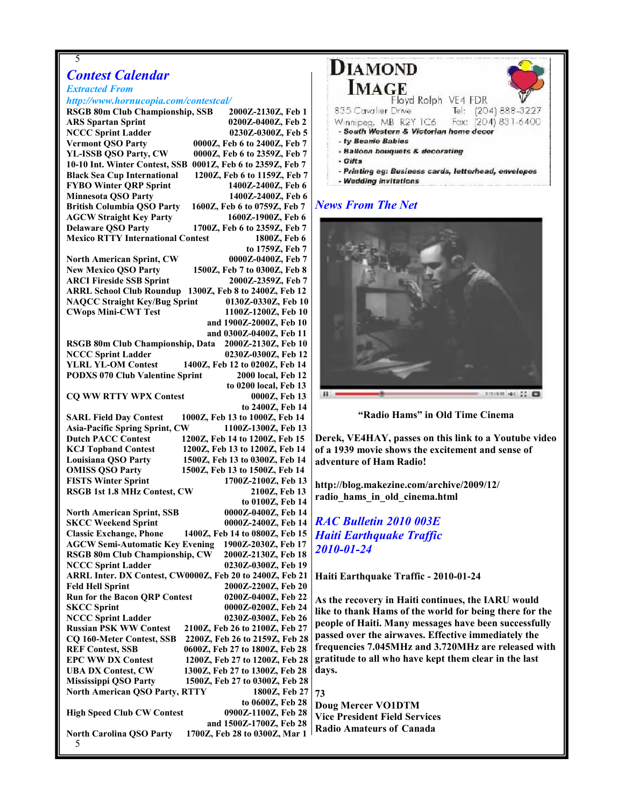# Contest Calendar

5

# Extracted From

|                                                          | http://www.hornucopia.com/contestcal/ |
|----------------------------------------------------------|---------------------------------------|
| <b>RSGB 80m Club Championship, SSB</b>                   | 2000Z-2130Z, Feb 1                    |
| <b>ARS Spartan Sprint</b>                                | 0200Z-0400Z, Feb 2                    |
| <b>NCCC Sprint Ladder</b>                                | 0230Z-0300Z, Feb 5                    |
| <b>Vermont QSO Party</b>                                 | 0000Z, Feb 6 to 2400Z, Feb 7          |
| YL-ISSB QSO Party, CW                                    | 0000Z, Feb 6 to 2359Z, Feb 7          |
| 10-10 Int. Winter Contest, SSB                           | 0001Z, Feb 6 to 2359Z, Feb 7          |
| <b>Black Sea Cup International</b>                       | 1200Z, Feb 6 to 1159Z, Feb 7          |
| <b>FYBO Winter QRP Sprint</b>                            | 1400Z-2400Z, Feb 6                    |
| <b>Minnesota QSO Party</b>                               | 1400Z-2400Z, Feb 6                    |
| <b>British Columbia QSO Party</b>                        | 1600Z, Feb 6 to 0759Z, Feb 7          |
| <b>AGCW Straight Key Party</b>                           | 1600Z-1900Z, Feb 6                    |
| <b>Delaware QSO Party</b>                                | 1700Z, Feb 6 to 2359Z, Feb 7          |
| <b>Mexico RTTY International Contest</b>                 | 1800Z, Feb 6                          |
|                                                          | to 1759Z, Feb 7                       |
|                                                          | 0000Z-0400Z, Feb 7                    |
| <b>North American Sprint, CW</b>                         |                                       |
| <b>New Mexico QSO Party</b>                              | 1500Z, Feb 7 to 0300Z, Feb 8          |
| <b>ARCI Fireside SSB Sprint</b>                          | 2000Z-2359Z, Feb 7                    |
| <b>ARRL School Club Roundup</b>                          | 1300Z, Feb 8 to 2400Z, Feb 12         |
| <b>NAQCC Straight Key/Bug Sprint</b>                     | 0130Z-0330Z, Feb 10                   |
| <b>CWops Mini-CWT Test</b>                               | 1100Z-1200Z, Feb 10                   |
|                                                          | and 1900Z-2000Z, Feb 10               |
|                                                          | and 0300Z-0400Z, Feb 11               |
| RSGB 80m Club Championship, Data                         | 2000Z-2130Z, Feb 10                   |
| <b>NCCC Sprint Ladder</b>                                | 0230Z-0300Z, Feb 12                   |
| <b>YLRL YL-OM Contest</b>                                | 1400Z, Feb 12 to 0200Z, Feb 14        |
| <b>PODXS 070 Club Valentine Sprint</b>                   | 2000 local, Feb 12                    |
|                                                          | to 0200 local, Feb 13                 |
| <b>CQ WW RTTY WPX Contest</b>                            | 0000Z, Feb 13                         |
|                                                          | to 2400Z, Feb 14                      |
| <b>SARL Field Day Contest</b>                            | 1000Z, Feb 13 to 1000Z, Feb 14        |
| <b>Asia-Pacific Spring Sprint, CW</b>                    | 1100Z-1300Z, Feb 13                   |
|                                                          |                                       |
|                                                          |                                       |
| <b>Dutch PACC Contest</b>                                | 1200Z, Feb 14 to 1200Z, Feb 15        |
| <b>KCJ Topband Contest</b>                               | 1200Z, Feb 13 to 1200Z, Feb 14        |
| <b>Louisiana QSO Party</b>                               | 1500Z, Feb 13 to 0300Z, Feb 14        |
| <b>OMISS QSO Party</b>                                   | 1500Z, Feb 13 to 1500Z, Feb 14        |
| <b>FISTS Winter Sprint</b>                               | 1700Z-2100Z, Feb 13                   |
| <b>RSGB 1st 1.8 MHz Contest, CW</b>                      | 2100Z, Feb 13                         |
|                                                          | to 0100Z, Feb 14                      |
| <b>North American Sprint, SSB</b>                        | 0000Z-0400Z, Feb 14                   |
| <b>SKCC Weekend Sprint</b>                               | 0000Z-2400Z, Feb 14                   |
| <b>Classic Exchange, Phone</b>                           | 1400Z, Feb 14 to 0800Z, Feb 15        |
| <b>AGCW Semi-Automatic Key Evening</b>                   | 1900Z-2030Z, Feb 17                   |
| RSGB 80m Club Championship, CW                           | 2000Z-2130Z, Feb 18                   |
| <b>NCCC Sprint Ladder</b>                                | 0230Z-0300Z, Feb 19                   |
| ARRL Inter. DX Contest, CW0000Z, Feb 20 to 2400Z, Feb 21 |                                       |
| <b>Feld Hell Sprint</b>                                  | 2000Z-2200Z, Feb 20                   |
| <b>Run for the Bacon QRP Contest</b>                     | 0200Z-0400Z, Feb 22                   |
| <b>SKCC Sprint</b>                                       | 0000Z-0200Z, Feb 24                   |
| <b>NCCC Sprint Ladder</b>                                | 0230Z-0300Z, Feb 26                   |
| <b>Russian PSK WW Contest</b>                            | 2100Z, Feb 26 to 2100Z, Feb 27        |
| <b>CQ 160-Meter Contest, SSB</b>                         | 2200Z, Feb 26 to 2159Z, Feb 28        |
| <b>REF Contest, SSB</b>                                  | 0600Z, Feb 27 to 1800Z, Feb 28        |
| <b>EPC WW DX Contest</b>                                 | 1200Z, Feb 27 to 1200Z, Feb 28        |
| <b>UBA DX Contest, CW</b>                                | 1300Z, Feb 27 to 1300Z, Feb 28        |
| Mississippi QSO Party                                    | 1500Z, Feb 27 to 0300Z, Feb 28        |
| <b>North American QSO Party, RTTY</b>                    | 1800Z, Feb 27                         |
|                                                          | to 0600Z, Feb 28                      |
| <b>High Speed Club CW Contest</b>                        | 0900Z-1100Z, Feb 28                   |
|                                                          | and 1500Z-1700Z, Feb 28               |
| <b>North Carolina QSO Party</b>                          | 1700Z, Feb 28 to 0300Z, Mar 1         |



# News From The Net



"Radio Hams" in Old Time Cinema

Derek, VE4HAY, passes on this link to a Youtube video of a 1939 movie shows the excitement and sense of adventure of Ham Radio!

http://blog.makezine.com/archive/2009/12/ radio\_hams\_in\_old\_cinema.html

RAC Bulletin 2010 003E Haiti Earthquake Traffic 2010-01-24

Haiti Earthquake Traffic - 2010-01-24

As the recovery in Haiti continues, the IARU would like to thank Hams of the world for being there for the people of Haiti. Many messages have been successfully passed over the airwaves. Effective immediately the frequencies 7.045MHz and 3.720MHz are released with gratitude to all who have kept them clear in the last days.

73 Doug Mercer VO1DTM Vice President Field Services Radio Amateurs of Canada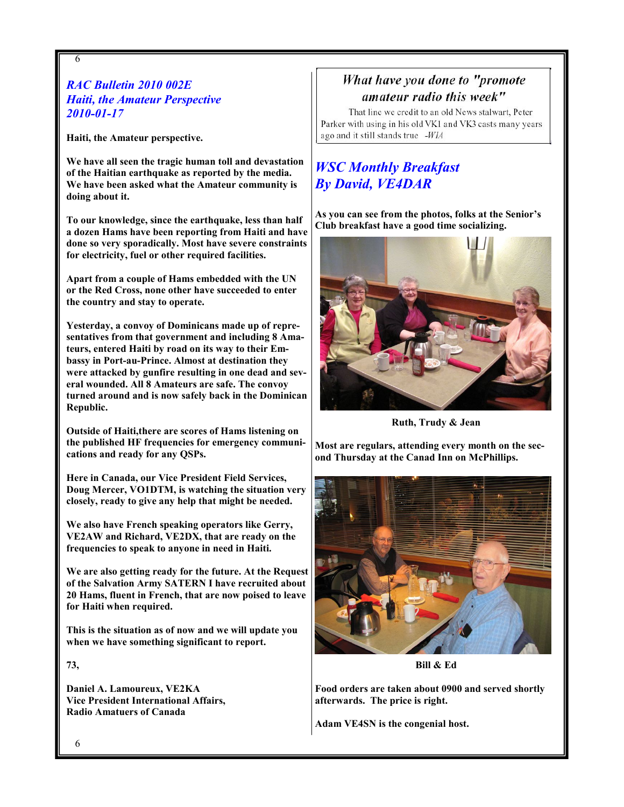# RAC Bulletin 2010 002E Haiti, the Amateur Perspective 2010-01-17

6

Haiti, the Amateur perspective.

We have all seen the tragic human toll and devastation of the Haitian earthquake as reported by the media. We have been asked what the Amateur community is doing about it.

To our knowledge, since the earthquake, less than half a dozen Hams have been reporting from Haiti and have done so very sporadically. Most have severe constraints for electricity, fuel or other required facilities.

Apart from a couple of Hams embedded with the UN or the Red Cross, none other have succeeded to enter the country and stay to operate.

Yesterday, a convoy of Dominicans made up of representatives from that government and including 8 Amateurs, entered Haiti by road on its way to their Embassy in Port-au-Prince. Almost at destination they were attacked by gunfire resulting in one dead and several wounded. All 8 Amateurs are safe. The convoy turned around and is now safely back in the Dominican Republic.

Outside of Haiti,there are scores of Hams listening on the published HF frequencies for emergency communications and ready for any QSPs.

Here in Canada, our Vice President Field Services, Doug Mercer, VO1DTM, is watching the situation very closely, ready to give any help that might be needed.

We also have French speaking operators like Gerry, VE2AW and Richard, VE2DX, that are ready on the frequencies to speak to anyone in need in Haiti.

We are also getting ready for the future. At the Request of the Salvation Army SATERN I have recruited about 20 Hams, fluent in French, that are now poised to leave for Haiti when required.

This is the situation as of now and we will update you when we have something significant to report.

73,

Daniel A. Lamoureux, VE2KA Vice President International Affairs, Radio Amatuers of Canada

# What have you done to "promote amateur radio this week"

That line we credit to an old News stalwart, Peter Parker with using in his old VK1 and VK3 casts many years ago and it still stands true -WIA

# WSC Monthly Breakfast By David, VE4DAR

As you can see from the photos, folks at the Senior's Club breakfast have a good time socializing.



Ruth, Trudy & Jean

Most are regulars, attending every month on the second Thursday at the Canad Inn on McPhillips.



Bill & Ed

Food orders are taken about 0900 and served shortly afterwards. The price is right.

Adam VE4SN is the congenial host.

6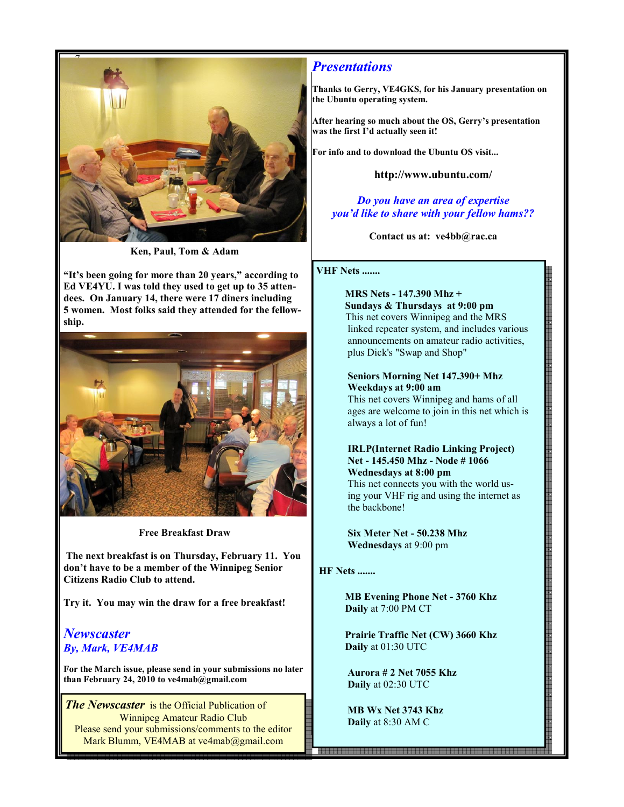

Ken, Paul, Tom & Adam

"It's been going for more than 20 years," according to Ed VE4YU. I was told they used to get up to 35 attendees. On January 14, there were 17 diners including 5 women. Most folks said they attended for the fellowship.



#### Free Breakfast Draw

 The next breakfast is on Thursday, February 11. You don't have to be a member of the Winnipeg Senior Citizens Radio Club to attend.

Try it. You may win the draw for a free breakfast!

# Newscaster By, Mark, VE4MAB

For the March issue, please send in your submissions no later than February 24, 2010 to ve4mab@gmail.com

**The Newscaster** is the Official Publication of Winnipeg Amateur Radio Club Please send your submissions/comments to the editor Mark Blumm, VE4MAB at ve4mab@gmail.com

# **Presentations**

Thanks to Gerry, VE4GKS, for his January presentation on the Ubuntu operating system.

After hearing so much about the OS, Gerry's presentation was the first I'd actually seen it!

For info and to download the Ubuntu OS visit...

http://www.ubuntu.com/

#### Do you have an area of expertise you'd like to share with your fellow hams??

Contact us at: ve4bb@rac.ca

VHF Nets .......

#### MRS Nets - 147.390 Mhz + Sundays & Thursdays at 9:00 pm

This net covers Winnipeg and the MRS linked repeater system, and includes various announcements on amateur radio activities, plus Dick's "Swap and Shop"

#### Seniors Morning Net 147.390+ Mhz Weekdays at 9:00 am

This net covers Winnipeg and hams of all ages are welcome to join in this net which is always a lot of fun!

#### IRLP(Internet Radio Linking Project) Net - 145.450 Mhz - Node # 1066 Wednesdays at 8:00 pm

This net connects you with the world using your VHF rig and using the internet as the backbone!

Six Meter Net - 50.238 Mhz Wednesdays at 9:00 pm

#### HF Nets .......

MB Evening Phone Net - 3760 Khz Daily at 7:00 PM CT

Prairie Traffic Net (CW) 3660 Khz Daily at 01:30 UTC

Aurora # 2 Net 7055 Khz Daily at 02:30 UTC

MB Wx Net 3743 Khz Daily at 8:30 AM C